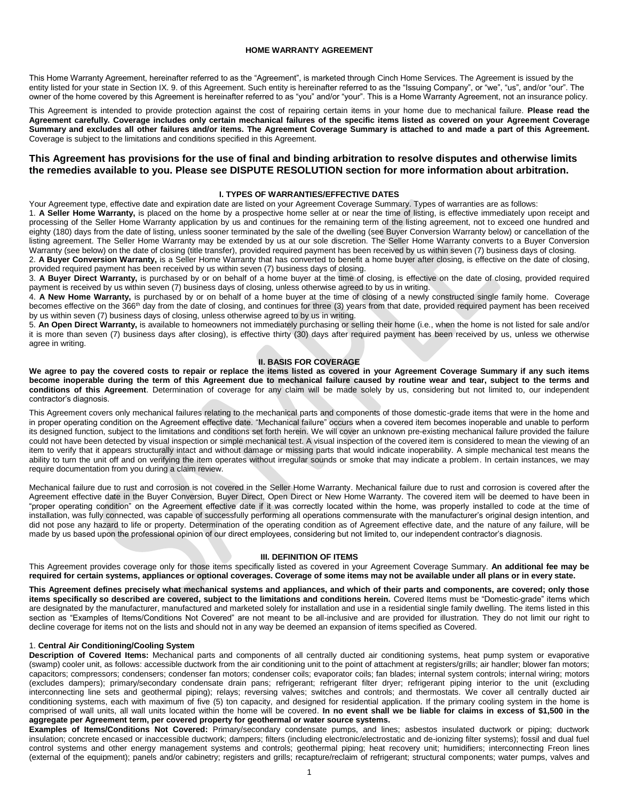## **HOME WARRANTY AGREEMENT**

This Home Warranty Agreement, hereinafter referred to as the "Agreement", is marketed through Cinch Home Services. The Agreement is issued by the entity listed for your state in Section IX. 9. of this Agreement. Such entity is hereinafter referred to as the "Issuing Company", or "we", "us", and/or "our". The owner of the home covered by this Agreement is hereinafter referred to as "you" and/or "your". This is a Home Warranty Agreement, not an insurance policy.

This Agreement is intended to provide protection against the cost of repairing certain items in your home due to mechanical failure. **Please read the Agreement carefully. Coverage includes only certain mechanical failures of the specific items listed as covered on your Agreement Coverage Summary and excludes all other failures and/or items. The Agreement Coverage Summary is attached to and made a part of this Agreement.**  Coverage is subject to the limitations and conditions specified in this Agreement.

# **This Agreement has provisions for the use of final and binding arbitration to resolve disputes and otherwise limits the remedies available to you. Please see DISPUTE RESOLUTION section for more information about arbitration.**

# **I. TYPES OF WARRANTIES/EFFECTIVE DATES**

Your Agreement type, effective date and expiration date are listed on your Agreement Coverage Summary. Types of warranties are as follows:

1. **A Seller Home Warranty,** is placed on the home by a prospective home seller at or near the time of listing, is effective immediately upon receipt and processing of the Seller Home Warranty application by us and continues for the remaining term of the listing agreement, not to exceed one hundred and eighty (180) days from the date of listing, unless sooner terminated by the sale of the dwelling (see Buyer Conversion Warranty below) or cancellation of the listing agreement. The Seller Home Warranty may be extended by us at our sole discretion. The Seller Home Warranty converts to a Buyer Conversion Warranty (see below) on the date of closing (title transfer), provided required payment has been received by us within seven (7) business days of closing.

2. **A Buyer Conversion Warranty,** is a Seller Home Warranty that has converted to benefit a home buyer after closing, is effective on the date of closing, provided required payment has been received by us within seven (7) business days of closing.

3. **A Buyer Direct Warranty,** is purchased by or on behalf of a home buyer at the time of closing, is effective on the date of closing, provided required payment is received by us within seven (7) business days of closing, unless otherwise agreed to by us in writing.

4. **A New Home Warranty,** is purchased by or on behalf of a home buyer at the time of closing of a newly constructed single family home. Coverage becomes effective on the 366<sup>th</sup> day from the date of closing, and continues for three (3) years from that date, provided required payment has been received by us within seven (7) business days of closing, unless otherwise agreed to by us in writing.

5. **An Open Direct Warranty,** is available to homeowners not immediately purchasing or selling their home (i.e., when the home is not listed for sale and/or it is more than seven (7) business days after closing), is effective thirty (30) days after required payment has been received by us, unless we otherwise agree in writing.

# **II. BASIS FOR COVERAGE**

**We agree to pay the covered costs to repair or replace the items listed as covered in your Agreement Coverage Summary if any such items become inoperable during the term of this Agreement due to mechanical failure caused by routine wear and tear, subject to the terms and conditions of this Agreement**. Determination of coverage for any claim will be made solely by us, considering but not limited to, our independent contractor's diagnosis.

This Agreement covers only mechanical failures relating to the mechanical parts and components of those domestic-grade items that were in the home and in proper operating condition on the Agreement effective date. "Mechanical failure" occurs when a covered item becomes inoperable and unable to perform its designed function, subject to the limitations and conditions set forth herein. We will cover an unknown pre-existing mechanical failure provided the failure could not have been detected by visual inspection or simple mechanical test. A visual inspection of the covered item is considered to mean the viewing of an item to verify that it appears structurally intact and without damage or missing parts that would indicate inoperability. A simple mechanical test means the ability to turn the unit off and on verifying the item operates without irregular sounds or smoke that may indicate a problem. In certain instances, we may require documentation from you during a claim review.

Mechanical failure due to rust and corrosion is not covered in the Seller Home Warranty. Mechanical failure due to rust and corrosion is covered after the Agreement effective date in the Buyer Conversion, Buyer Direct, Open Direct or New Home Warranty. The covered item will be deemed to have been in "proper operating condition" on the Agreement effective date if it was correctly located within the home, was properly installed to code at the time of installation, was fully connected, was capable of successfully performing all operations commensurate with the manufacturer's original design intention, and did not pose any hazard to life or property. Determination of the operating condition as of Agreement effective date, and the nature of any failure, will be made by us based upon the professional opinion of our direct employees, considering but not limited to, our independent contractor's diagnosis.

# **III. DEFINITION OF ITEMS**

This Agreement provides coverage only for those items specifically listed as covered in your Agreement Coverage Summary. **An additional fee may be required for certain systems, appliances or optional coverages. Coverage of some items may not be available under all plans or in every state.**

**This Agreement defines precisely what mechanical systems and appliances, and which of their parts and components, are covered; only those**  items specifically so described are covered, subject to the limitations and conditions herein. Covered Items must be "Domestic-grade" items which are designated by the manufacturer, manufactured and marketed solely for installation and use in a residential single family dwelling. The items listed in this section as "Examples of Items/Conditions Not Covered" are not meant to be all-inclusive and are provided for illustration. They do not limit our right to decline coverage for items not on the lists and should not in any way be deemed an expansion of items specified as Covered.

#### 1. **Central Air Conditioning/Cooling System**

**Description of Covered Items:** Mechanical parts and components of all centrally ducted air conditioning systems, heat pump system or evaporative (swamp) cooler unit, as follows: accessible ductwork from the air conditioning unit to the point of attachment at registers/grills; air handler; blower fan motors; capacitors; compressors; condensers; condenser fan motors; condenser coils; evaporator coils; fan blades; internal system controls; internal wiring; motors (excludes dampers); primary/secondary condensate drain pans; refrigerant; refrigerant filter dryer; refrigerant piping interior to the unit (excluding interconnecting line sets and geothermal piping); relays; reversing valves; switches and controls; and thermostats. We cover all centrally ducted air conditioning systems, each with maximum of five (5) ton capacity, and designed for residential application. If the primary cooling system in the home is comprised of wall units, all wall units located within the home will be covered. **In no event shall we be liable for claims in excess of \$1,500 in the aggregate per Agreement term, per covered property for geothermal or water source systems.**

**Examples of Items/Conditions Not Covered:** Primary/secondary condensate pumps, and lines; asbestos insulated ductwork or piping; ductwork insulation; concrete encased or inaccessible ductwork; dampers; filters (including electronic/electrostatic and de-ionizing filter systems); fossil and dual fuel control systems and other energy management systems and controls; geothermal piping; heat recovery unit; humidifiers; interconnecting Freon lines (external of the equipment); panels and/or cabinetry; registers and grills; recapture/reclaim of refrigerant; structural components; water pumps, valves and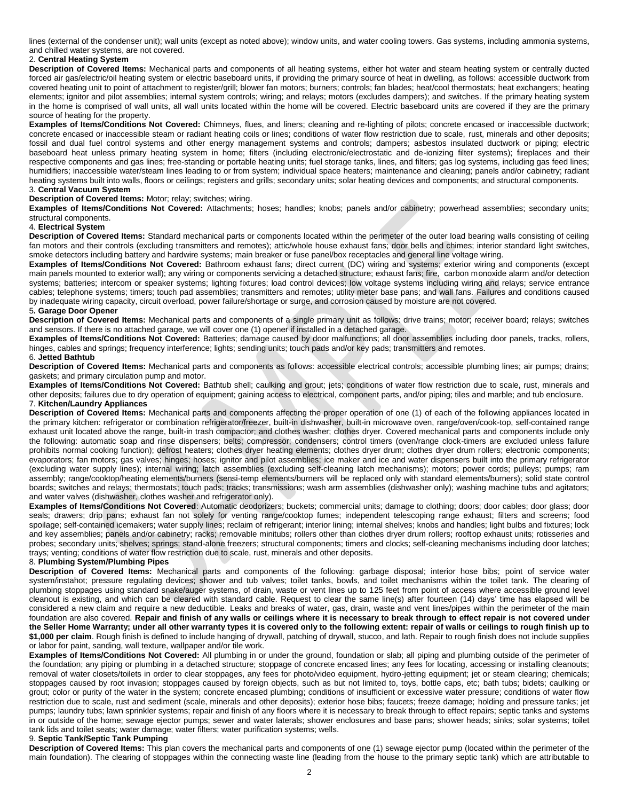lines (external of the condenser unit); wall units (except as noted above); window units, and water cooling towers. Gas systems, including ammonia systems, and chilled water systems, are not covered.

## 2. **Central Heating System**

**Description of Covered Items:** Mechanical parts and components of all heating systems, either hot water and steam heating system or centrally ducted forced air gas/electric/oil heating system or electric baseboard units, if providing the primary source of heat in dwelling, as follows: accessible ductwork from covered heating unit to point of attachment to register/grill; blower fan motors; burners; controls; fan blades; heat/cool thermostats; heat exchangers; heating elements; ignitor and pilot assemblies; internal system controls; wiring; and relays; motors (excludes dampers); and switches. If the primary heating system in the home is comprised of wall units, all wall units located within the home will be covered. Electric baseboard units are covered if they are the primary source of heating for the property.

**Examples of Items/Conditions Not Covered:** Chimneys, flues, and liners; cleaning and re-lighting of pilots; concrete encased or inaccessible ductwork; concrete encased or inaccessible steam or radiant heating coils or lines; conditions of water flow restriction due to scale, rust, minerals and other deposits; fossil and dual fuel control systems and other energy management systems and controls; dampers; asbestos insulated ductwork or piping; electric baseboard heat unless primary heating system in home; filters (including electronic/electrostatic and de-ionizing filter systems); fireplaces and their respective components and gas lines; free-standing or portable heating units; fuel storage tanks, lines, and filters; gas log systems, including gas feed lines; humidifiers; inaccessible water/steam lines leading to or from system; individual space heaters; maintenance and cleaning; panels and/or cabinetry; radiant heating systems built into walls, floors or ceilings; registers and grills; secondary units; solar heating devices and components; and structural components. 3. **Central Vacuum System**

## **Description of Covered Items:** Motor; relay; switches; wiring.

**Examples of Items/Conditions Not Covered:** Attachments; hoses; handles; knobs; panels and/or cabinetry; powerhead assemblies; secondary units; structural components.

#### 4. **Electrical System**

**Description of Covered Items:** Standard mechanical parts or components located within the perimeter of the outer load bearing walls consisting of ceiling fan motors and their controls (excluding transmitters and remotes); attic/whole house exhaust fans; door bells and chimes; interior standard light switches, smoke detectors including battery and hardwire systems; main breaker or fuse panel/box receptacles and general line voltage wiring.

**Examples of Items/Conditions Not Covered:** Bathroom exhaust fans; direct current (DC) wiring and systems; exterior wiring and components (except main panels mounted to exterior wall); any wiring or components servicing a detached structure; exhaust fans; fire, carbon monoxide alarm and/or detection systems; batteries; intercom or speaker systems; lighting fixtures; load control devices; low voltage systems including wiring and relays; service entrance cables; telephone systems; timers; touch pad assemblies; transmitters and remotes; utility meter base pans; and wall fans. Failures and conditions caused by inadequate wiring capacity, circuit overload, power failure/shortage or surge, and corrosion caused by moisture are not covered.

# 5**. Garage Door Opener**

**Description of Covered Items:** Mechanical parts and components of a single primary unit as follows: drive trains; motor; receiver board; relays; switches and sensors. If there is no attached garage, we will cover one (1) opener if installed in a detached garage.

**Examples of Items/Conditions Not Covered:** Batteries; damage caused by door malfunctions; all door assemblies including door panels, tracks, rollers, hinges, cables and springs; frequency interference; lights; sending units; touch pads and/or key pads; transmitters and remotes.

## 6. **Jetted Bathtub**

**Description of Covered Items:** Mechanical parts and components as follows: accessible electrical controls; accessible plumbing lines; air pumps; drains; gaskets; and primary circulation pump and motor.

**Examples of Items/Conditions Not Covered:** Bathtub shell; caulking and grout; jets; conditions of water flow restriction due to scale, rust, minerals and other deposits; failures due to dry operation of equipment; gaining access to electrical, component parts, and/or piping; tiles and marble; and tub enclosure. 7. **Kitchen/Laundry Appliances**

**Description of Covered Items:** Mechanical parts and components affecting the proper operation of one (1) of each of the following appliances located in the primary kitchen: refrigerator or combination refrigerator/freezer, built-in dishwasher, built-in microwave oven, range/oven/cook-top, self-contained range exhaust unit located above the range, built-in trash compactor; and clothes washer; clothes dryer. Covered mechanical parts and components include only the following: automatic soap and rinse dispensers; belts; compressor; condensers; control timers (oven/range clock-timers are excluded unless failure prohibits normal cooking function); defrost heaters; clothes dryer heating elements; clothes dryer drum; clothes dryer drum rollers; electronic components; evaporators; fan motors; gas valves; hinges; hoses; ignitor and pilot assemblies; ice maker and ice and water dispensers built into the primary refrigerator (excluding water supply lines); internal wiring; latch assemblies (excluding self-cleaning latch mechanisms); motors; power cords; pulleys; pumps; ram assembly; range/cooktop/heating elements/burners (sensi-temp elements/burners will be replaced only with standard elements/burners); solid state control boards; switches and relays; thermostats; touch pads; tracks; transmissions; wash arm assemblies (dishwasher only); washing machine tubs and agitators; and water valves (dishwasher, clothes washer and refrigerator only).

Examples of Items/Conditions Not Covered: Automatic deodorizers; buckets; commercial units; damage to clothing; doors; door cables; door glass; door seals; drawers; drip pans; exhaust fan not solely for venting range/cooktop fumes; independent telescoping range exhaust; filters and screens; food spoilage; self-contained icemakers; water supply lines; reclaim of refrigerant; interior lining; internal shelves; knobs and handles; light bulbs and fixtures; lock and key assemblies; panels and/or cabinetry; racks; removable minitubs; rollers other than clothes dryer drum rollers; rooftop exhaust units; rotisseries and probes; secondary units; shelves; springs; stand-alone freezers; structural components; timers and clocks; self-cleaning mechanisms including door latches; trays; venting; conditions of water flow restriction due to scale, rust, minerals and other deposits.

# 8. **Plumbing System/Plumbing Pipes**

**Description of Covered Items:** Mechanical parts and components of the following: garbage disposal; interior hose bibs; point of service water system/instahot; pressure regulating devices; shower and tub valves; toilet tanks, bowls, and toilet mechanisms within the toilet tank. The clearing of plumbing stoppages using standard snake/auger systems, of drain, waste or vent lines up to 125 feet from point of access where accessible ground level cleanout is existing, and which can be cleared with standard cable. Request to clear the same line(s) after fourteen (14) days' time has elapsed will be considered a new claim and require a new deductible. Leaks and breaks of water, gas, drain, waste and vent lines/pipes within the perimeter of the main foundation are also covered. **Repair and finish of any walls or ceilings where it is necessary to break through to effect repair is not covered under the Seller Home Warranty; under all other warranty types it is covered only to the following extent: repair of walls or ceilings to rough finish up to \$1,000 per claim**. Rough finish is defined to include hanging of drywall, patching of drywall, stucco, and lath. Repair to rough finish does not include supplies or labor for paint, sanding, wall texture, wallpaper and/or tile work.

**Examples of Items/Conditions Not Covered:** All plumbing in or under the ground, foundation or slab; all piping and plumbing outside of the perimeter of the foundation; any piping or plumbing in a detached structure; stoppage of concrete encased lines; any fees for locating, accessing or installing cleanouts; removal of water closets/toilets in order to clear stoppages, any fees for photo/video equipment, hydro-jetting equipment; jet or steam clearing; chemicals; stoppages caused by root invasion; stoppages caused by foreign objects, such as but not limited to, toys, bottle caps, etc; bath tubs; bidets; caulking or grout; color or purity of the water in the system; concrete encased plumbing; conditions of insufficient or excessive water pressure; conditions of water flow restriction due to scale, rust and sediment (scale, minerals and other deposits); exterior hose bibs; faucets; freeze damage; holding and pressure tanks; jet pumps; laundry tubs; lawn sprinkler systems; repair and finish of any floors where it is necessary to break through to effect repairs; septic tanks and systems in or outside of the home; sewage ejector pumps; sewer and water laterals; shower enclosures and base pans; shower heads; sinks; solar systems; toilet tank lids and toilet seats; water damage; water filters; water purification systems; wells.

## 9. **Septic Tank/Septic Tank Pumping**

**Description of Covered Items:** This plan covers the mechanical parts and components of one (1) sewage ejector pump (located within the perimeter of the main foundation). The clearing of stoppages within the connecting waste line (leading from the house to the primary septic tank) which are attributable to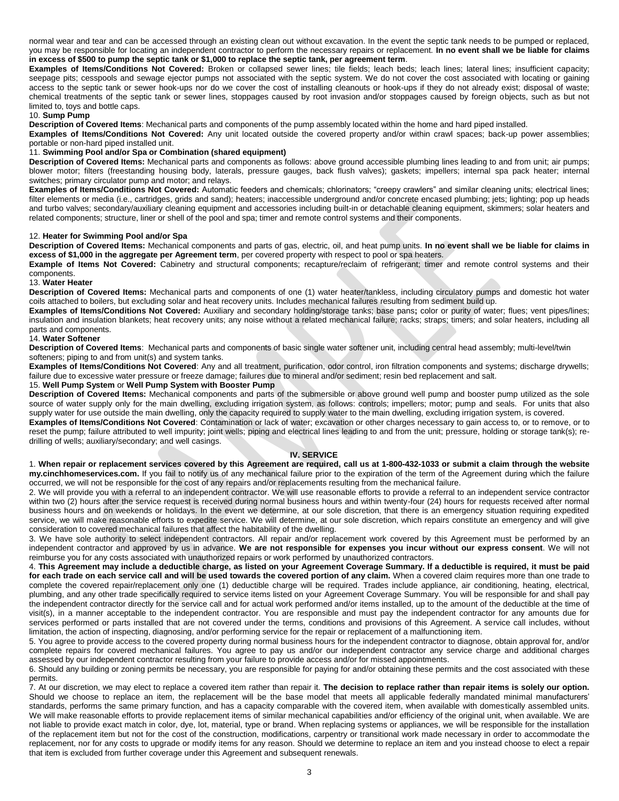normal wear and tear and can be accessed through an existing clean out without excavation. In the event the septic tank needs to be pumped or replaced, you may be responsible for locating an independent contractor to perform the necessary repairs or replacement. **In no event shall we be liable for claims in excess of \$500 to pump the septic tank or \$1,000 to replace the septic tank, per agreement term**.

**Examples of Items/Conditions Not Covered:** Broken or collapsed sewer lines; tile fields; leach beds; leach lines; lateral lines; insufficient capacity; seepage pits; cesspools and sewage ejector pumps not associated with the septic system. We do not cover the cost associated with locating or gaining access to the septic tank or sewer hook-ups nor do we cover the cost of installing cleanouts or hook-ups if they do not already exist; disposal of waste; chemical treatments of the septic tank or sewer lines, stoppages caused by root invasion and/or stoppages caused by foreign objects, such as but not limited to, toys and bottle caps.

## 10. **Sump Pump**

**Description of Covered Items**: Mechanical parts and components of the pump assembly located within the home and hard piped installed.

**Examples of Items/Conditions Not Covered:** Any unit located outside the covered property and/or within crawl spaces; back-up power assemblies; portable or non-hard piped installed unit.

# 11. **Swimming Pool and/or Spa or Combination (shared equipment)**

**Description of Covered Items:** Mechanical parts and components as follows: above ground accessible plumbing lines leading to and from unit; air pumps; blower motor; filters (freestanding housing body, laterals, pressure gauges, back flush valves); gaskets; impellers; internal spa pack heater; internal switches; primary circulator pump and motor; and relays.

**Examples of Items/Conditions Not Covered:** Automatic feeders and chemicals; chlorinators; "creepy crawlers" and similar cleaning units; electrical lines; filter elements or media (i.e., cartridges, grids and sand); heaters; inaccessible underground and/or concrete encased plumbing; jets; lighting; pop up heads and turbo valves; secondary/auxiliary cleaning equipment and accessories including built-in or detachable cleaning equipment, skimmers; solar heaters and related components; structure, liner or shell of the pool and spa; timer and remote control systems and their components.

## 12. **Heater for Swimming Pool and/or Spa**

**Description of Covered Items:** Mechanical components and parts of gas, electric, oil, and heat pump units. **In no event shall we be liable for claims in excess of \$1,000 in the aggregate per Agreement term**, per covered property with respect to pool or spa heaters.

**Example of Items Not Covered:** Cabinetry and structural components; recapture/reclaim of refrigerant; timer and remote control systems and their components.

#### 13. **Water Heater**

**Description of Covered Items:** Mechanical parts and components of one (1) water heater/tankless, including circulatory pumps and domestic hot water coils attached to boilers, but excluding solar and heat recovery units. Includes mechanical failures resulting from sediment build up.

**Examples of Items/Conditions Not Covered:** Auxiliary and secondary holding/storage tanks; base pans**;** color or purity of water; flues; vent pipes/lines; insulation and insulation blankets; heat recovery units; any noise without a related mechanical failure; racks; straps; timers; and solar heaters, including all parts and components.

### 14. **Water Softener**

**Description of Covered Items**: Mechanical parts and components of basic single water softener unit, including central head assembly; multi-level/twin softeners; piping to and from unit(s) and system tanks.

**Examples of Items/Conditions Not Covered**: Any and all treatment, purification, odor control, iron filtration components and systems; discharge drywells; failure due to excessive water pressure or freeze damage; failures due to mineral and/or sediment; resin bed replacement and salt.

# 15. **Well Pump System** or **Well Pump System with Booster Pump**

**Description of Covered Items:** Mechanical components and parts of the submersible or above ground well pump and booster pump utilized as the sole source of water supply only for the main dwelling, excluding irrigation system, as follows: controls; impellers; motor; pump and seals. For units that also supply water for use outside the main dwelling, only the capacity required to supply water to the main dwelling, excluding irrigation system, is covered.

**Examples of Items/Conditions Not Covered**: Contamination or lack of water; excavation or other charges necessary to gain access to, or to remove, or to reset the pump; failure attributed to well impurity; joint wells; piping and electrical lines leading to and from the unit; pressure, holding or storage tank(s); redrilling of wells; auxiliary/secondary; and well casings.

#### **IV. SERVICE**

1. **When repair or replacement services covered by this Agreement are required, call us at 1-800-432-1033 or submit a claim through the website my.cinchhomeservices.com.** If you fail to notify us of any mechanical failure prior to the expiration of the term of the Agreement during which the failure occurred, we will not be responsible for the cost of any repairs and/or replacements resulting from the mechanical failure.

2. We will provide you with a referral to an independent contractor. We will use reasonable efforts to provide a referral to an independent service contractor within two (2) hours after the service request is received during normal business hours and within twenty-four (24) hours for requests received after normal business hours and on weekends or holidays. In the event we determine, at our sole discretion, that there is an emergency situation requiring expedited service, we will make reasonable efforts to expedite service. We will determine, at our sole discretion, which repairs constitute an emergency and will give consideration to covered mechanical failures that affect the habitability of the dwelling.

3. We have sole authority to select independent contractors. All repair and/or replacement work covered by this Agreement must be performed by an independent contractor and approved by us in advance. **We are not responsible for expenses you incur without our express consent**. We will not reimburse you for any costs associated with unauthorized repairs or work performed by unauthorized contractors.

4. **This Agreement may include a deductible charge, as listed on your Agreement Coverage Summary. If a deductible is required, it must be paid** for each trade on each service call and will be used towards the covered portion of any claim. When a covered claim requires more than one trade to complete the covered repair/replacement only one (1) deductible charge will be required. Trades include appliance, air conditioning, heating, electrical, plumbing, and any other trade specifically required to service items listed on your Agreement Coverage Summary. You will be responsible for and shall pay the independent contractor directly for the service call and for actual work performed and/or items installed, up to the amount of the deductible at the time of visit(s), in a manner acceptable to the independent contractor. You are responsible and must pay the independent contractor for any amounts due for services performed or parts installed that are not covered under the terms, conditions and provisions of this Agreement. A service call includes, without limitation, the action of inspecting, diagnosing, and/or performing service for the repair or replacement of a malfunctioning item.

5. You agree to provide access to the covered property during normal business hours for the independent contractor to diagnose, obtain approval for, and/or complete repairs for covered mechanical failures. You agree to pay us and/or our independent contractor any service charge and additional charges assessed by our independent contractor resulting from your failure to provide access and/or for missed appointments.

6. Should any building or zoning permits be necessary, you are responsible for paying for and/or obtaining these permits and the cost associated with these permits.

7. At our discretion, we may elect to replace a covered item rather than repair it. **The decision to replace rather than repair items is solely our option.**  Should we choose to replace an item, the replacement will be the base model that meets all applicable federally mandated minimal manufacturers' standards, performs the same primary function, and has a capacity comparable with the covered item, when available with domestically assembled units. We will make reasonable efforts to provide replacement items of similar mechanical capabilities and/or efficiency of the original unit, when available. We are not liable to provide exact match in color, dye, lot, material, type or brand. When replacing systems or appliances, we will be responsible for the installation of the replacement item but not for the cost of the construction, modifications, carpentry or transitional work made necessary in order to accommodate the replacement, nor for any costs to upgrade or modify items for any reason. Should we determine to replace an item and you instead choose to elect a repair that item is excluded from further coverage under this Agreement and subsequent renewals.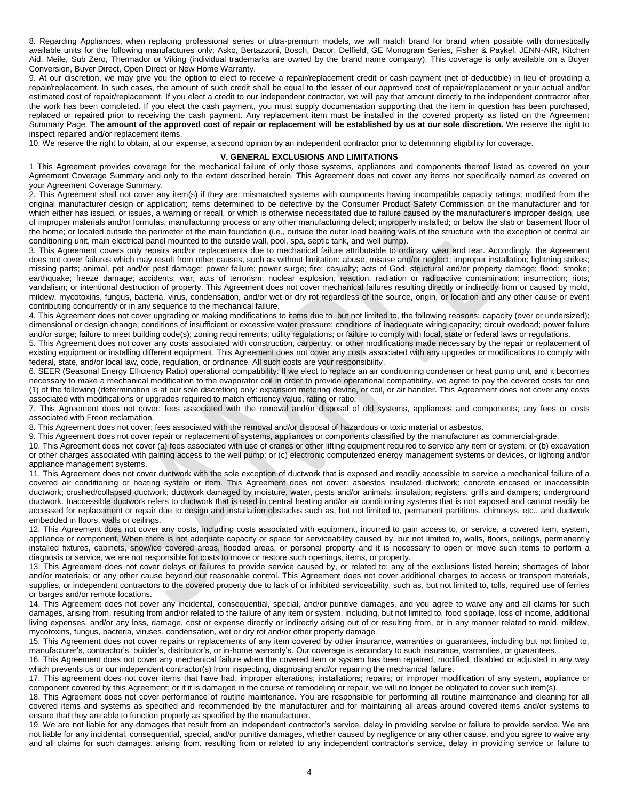8. Regarding Appliances, when replacing professional series or ultra-premium models, we will match brand for brand when possible with domestically available units for the following manufactures only; Asko, Bertazzoni, Bosch, Dacor, Delfield, GE Monogram Series, Fisher & Paykel, JENN-AIR, Kitchen Aid, Meile, Sub Zero, Thermador or Viking (individual trademarks are owned by the brand name company). This coverage is only available on a Buyer Conversion, Buyer Direct, Open Direct or New Home Warranty.

9. At our discretion, we may give you the option to elect to receive a repair/replacement credit or cash payment (net of deductible) in lieu of providing a repair/replacement. In such cases, the amount of such credit shall be equal to the lesser of our approved cost of repair/replacement or your actual and/or estimated cost of repair/replacement. If you elect a credit to our independent contractor, we will pay that amount directly to the independent contractor after the work has been completed. If you elect the cash payment, you must supply documentation supporting that the item in question has been purchased, replaced or repaired prior to receiving the cash payment. Any replacement item must be installed in the covered property as listed on the Agreement Summary Page. **The amount of the approved cost of repair or replacement will be established by us at our sole discretion.** We reserve the right to inspect repaired and/or replacement items.

10. We reserve the right to obtain, at our expense, a second opinion by an independent contractor prior to determining eligibility for coverage.

#### **V. GENERAL EXCLUSIONS AND LIMITATIONS**

1 This Agreement provides coverage for the mechanical failure of only those systems, appliances and components thereof listed as covered on your Agreement Coverage Summary and only to the extent described herein. This Agreement does not cover any items not specifically named as covered on your Agreement Coverage Summary.

2. This Agreement shall not cover any item(s) if they are: mismatched systems with components having incompatible capacity ratings; modified from the original manufacturer design or application; items determined to be defective by the Consumer Product Safety Commission or the manufacturer and for which either has issued, or issues, a warning or recall, or which is otherwise necessitated due to failure caused by the manufacturer's improper design, use of improper materials and/or formulas, manufacturing process or any other manufacturing defect; improperly installed; or below the slab or basement floor of the home; or located outside the perimeter of the main foundation (i.e., outside the outer load bearing walls of the structure with the exception of central air conditioning unit, main electrical panel mounted to the outside wall, pool, spa, septic tank, and well pump).

3. This Agreement covers only repairs and/or replacements due to mechanical failure attributable to ordinary wear and tear. Accordingly, the Agreement does not cover failures which may result from other causes, such as without limitation: abuse, misuse and/or neglect; improper installation; lightning strikes; missing parts; animal, pet and/or pest damage; power failure; power surge; fire; casualty; acts of God; structural and/or property damage; flood; smoke; earthquake; freeze damage; accidents; war; acts of terrorism; nuclear explosion, reaction, radiation or radioactive contamination; insurrection; riots; vandalism; or intentional destruction of property. This Agreement does not cover mechanical failures resulting directly or indirectly from or caused by mold, mildew, mycotoxins, fungus, bacteria, virus, condensation, and/or wet or dry rot regardless of the source, origin, or location and any other cause or event contributing concurrently or in any sequence to the mechanical failure.

4. This Agreement does not cover upgrading or making modifications to items due to, but not limited to, the following reasons: capacity (over or undersized); dimensional or design change; conditions of insufficient or excessive water pressure; conditions of inadequate wiring capacity; circuit overload; power failure and/or surge; failure to meet building code(s); zoning requirements; utility regulations; or failure to comply with local, state or federal laws or regulations.

5. This Agreement does not cover any costs associated with construction, carpentry, or other modifications made necessary by the repair or replacement of existing equipment or installing different equipment. This Agreement does not cover any costs associated with any upgrades or modifications to comply with federal, state, and/or local law, code, regulation, or ordinance. All such costs are your responsibility.

6. SEER (Seasonal Energy Efficiency Ratio) operational compatibility: If we elect to replace an air conditioning condenser or heat pump unit, and it becomes necessary to make a mechanical modification to the evaporator coil in order to provide operational compatibility, we agree to pay the covered costs for one (1) of the following (determination is at our sole discretion) only: expansion metering device, or coil, or air handler. This Agreement does not cover any costs associated with modifications or upgrades required to match efficiency value, rating or ratio.

7. This Agreement does not cover: fees associated with the removal and/or disposal of old systems, appliances and components; any fees or costs associated with Freon reclamation.

8. This Agreement does not cover: fees associated with the removal and/or disposal of hazardous or toxic material or asbestos.

9. This Agreement does not cover repair or replacement of systems, appliances or components classified by the manufacturer as commercial-grade.

10. This Agreement does not cover (a) fees associated with use of cranes or other lifting equipment required to service any item or system; or (b) excavation or other charges associated with gaining access to the well pump; or (c) electronic computerized energy management systems or devices, or lighting and/or appliance management systems.

11. This Agreement does not cover ductwork with the sole exception of ductwork that is exposed and readily accessible to service a mechanical failure of a covered air conditioning or heating system or item. This Agreement does not cover: asbestos insulated ductwork; concrete encased or inaccessible ductwork; crushed/collapsed ductwork; ductwork damaged by moisture, water, pests and/or animals; insulation; registers, grills and dampers; underground ductwork. Inaccessible ductwork refers to ductwork that is used in central heating and/or air conditioning systems that is not exposed and cannot readily be accessed for replacement or repair due to design and installation obstacles such as, but not limited to, permanent partitions, chimneys, etc., and ductwork embedded in floors, walls or ceilings.

12. This Agreement does not cover any costs, including costs associated with equipment, incurred to gain access to, or service, a covered item, system, appliance or component. When there is not adequate capacity or space for serviceability caused by, but not limited to, walls, floors, ceilings, permanently installed fixtures, cabinets, snow/ice covered areas, flooded areas, or personal property and it is necessary to open or move such items to perform a diagnosis or service, we are not responsible for costs to move or restore such openings, items, or property.

13. This Agreement does not cover delays or failures to provide service caused by, or related to: any of the exclusions listed herein; shortages of labor and/or materials; or any other cause beyond our reasonable control. This Agreement does not cover additional charges to access or transport materials, supplies, or independent contractors to the covered property due to lack of or inhibited serviceability, such as, but not limited to, tolls, required use of ferries or barges and/or remote locations.

14. This Agreement does not cover any incidental, consequential, special, and/or punitive damages, and you agree to waive any and all claims for such damages, arising from, resulting from and/or related to the failure of any item or system, including, but not limited to, food spoilage, loss of income, additional living expenses, and/or any loss, damage, cost or expense directly or indirectly arising out of or resulting from, or in any manner related to mold, mildew, mycotoxins, fungus, bacteria, viruses, condensation, wet or dry rot and/or other property damage.

15. This Agreement does not cover repairs or replacements of any item covered by other insurance, warranties or guarantees, including but not limited to, manufacturer's, contractor's, builder's, distributor's, or in-home warranty's. Our coverage is secondary to such insurance, warranties, or guarantees.

16. This Agreement does not cover any mechanical failure when the covered item or system has been repaired, modified, disabled or adjusted in any way which prevents us or our independent contractor(s) from inspecting, diagnosing and/or repairing the mechanical failure.

17. This agreement does not cover items that have had: improper alterations; installations; repairs; or improper modification of any system, appliance or component covered by this Agreement; or if it is damaged in the course of remodeling or repair, we will no longer be obligated to cover such item(s).

18. This Agreement does not cover performance of routine maintenance. You are responsible for performing all routine maintenance and cleaning for all covered items and systems as specified and recommended by the manufacturer and for maintaining all areas around covered items and/or systems to ensure that they are able to function properly as specified by the manufacturer.

19. We are not liable for any damages that result from an independent contractor's service, delay in providing service or failure to provide service. We are not liable for any incidental, consequential, special, and/or punitive damages, whether caused by negligence or any other cause, and you agree to waive any and all claims for such damages, arising from, resulting from or related to any independent contractor's service, delay in providing service or failure to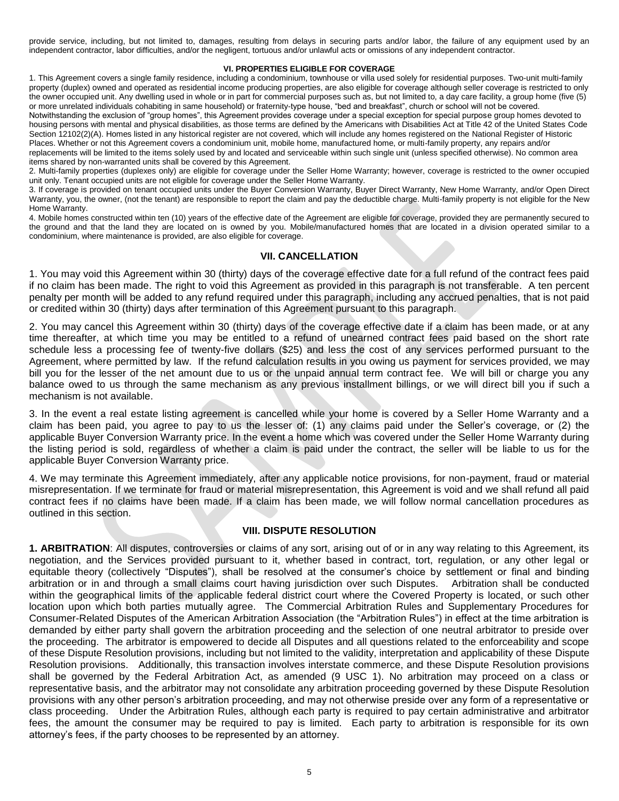provide service, including, but not limited to, damages, resulting from delays in securing parts and/or labor, the failure of any equipment used by an independent contractor, labor difficulties, and/or the negligent, tortuous and/or unlawful acts or omissions of any independent contractor.

# **VI. PROPERTIES ELIGIBLE FOR COVERAGE**

1. This Agreement covers a single family residence, including a condominium, townhouse or villa used solely for residential purposes. Two-unit multi-family property (duplex) owned and operated as residential income producing properties, are also eligible for coverage although seller coverage is restricted to only the owner occupied unit. Any dwelling used in whole or in part for commercial purposes such as, but not limited to, a day care facility, a group home (five (5) or more unrelated individuals cohabiting in same household) or fraternity-type house, "bed and breakfast", church or school will not be covered. Notwithstanding the exclusion of "group homes", this Agreement provides coverage under a special exception for special purpose group homes devoted to housing persons with mental and physical disabilities, as those terms are defined by the Americans with Disabilities Act at Title 42 of the United States Code Section 12102(2)(A). Homes listed in any historical register are not covered, which will include any homes registered on the National Register of Historic Places. Whether or not this Agreement covers a condominium unit, mobile home, manufactured home, or multi-family property, any repairs and/or replacements will be limited to the items solely used by and located and serviceable within such single unit (unless specified otherwise). No common area items shared by non-warranted units shall be covered by this Agreement.

2. Multi-family properties (duplexes only) are eligible for coverage under the Seller Home Warranty; however, coverage is restricted to the owner occupied unit only. Tenant occupied units are not eligible for coverage under the Seller Home Warranty.

3. If coverage is provided on tenant occupied units under the Buyer Conversion Warranty, Buyer Direct Warranty, New Home Warranty, and/or Open Direct Warranty, you, the owner, (not the tenant) are responsible to report the claim and pay the deductible charge. Multi-family property is not eligible for the New Home Warranty.

4. Mobile homes constructed within ten (10) years of the effective date of the Agreement are eligible for coverage, provided they are permanently secured to the ground and that the land they are located on is owned by you. Mobile/manufactured homes that are located in a division operated similar to a condominium, where maintenance is provided, are also eligible for coverage.

# **VII. CANCELLATION**

1. You may void this Agreement within 30 (thirty) days of the coverage effective date for a full refund of the contract fees paid if no claim has been made. The right to void this Agreement as provided in this paragraph is not transferable. A ten percent penalty per month will be added to any refund required under this paragraph, including any accrued penalties, that is not paid or credited within 30 (thirty) days after termination of this Agreement pursuant to this paragraph.

2. You may cancel this Agreement within 30 (thirty) days of the coverage effective date if a claim has been made, or at any time thereafter, at which time you may be entitled to a refund of unearned contract fees paid based on the short rate schedule less a processing fee of twenty-five dollars (\$25) and less the cost of any services performed pursuant to the Agreement, where permitted by law. If the refund calculation results in you owing us payment for services provided, we may bill you for the lesser of the net amount due to us or the unpaid annual term contract fee. We will bill or charge you any balance owed to us through the same mechanism as any previous installment billings, or we will direct bill you if such a mechanism is not available.

3. In the event a real estate listing agreement is cancelled while your home is covered by a Seller Home Warranty and a claim has been paid, you agree to pay to us the lesser of: (1) any claims paid under the Seller's coverage, or (2) the applicable Buyer Conversion Warranty price. In the event a home which was covered under the Seller Home Warranty during the listing period is sold, regardless of whether a claim is paid under the contract, the seller will be liable to us for the applicable Buyer Conversion Warranty price.

4. We may terminate this Agreement immediately, after any applicable notice provisions, for non-payment, fraud or material misrepresentation. If we terminate for fraud or material misrepresentation, this Agreement is void and we shall refund all paid contract fees if no claims have been made. If a claim has been made, we will follow normal cancellation procedures as outlined in this section.

# **VIII. DISPUTE RESOLUTION**

**1. ARBITRATION**: All disputes, controversies or claims of any sort, arising out of or in any way relating to this Agreement, its negotiation, and the Services provided pursuant to it, whether based in contract, tort, regulation, or any other legal or equitable theory (collectively "Disputes"), shall be resolved at the consumer's choice by settlement or final and binding arbitration or in and through a small claims court having jurisdiction over such Disputes. Arbitration shall be conducted within the geographical limits of the applicable federal district court where the Covered Property is located, or such other location upon which both parties mutually agree. The Commercial Arbitration Rules and Supplementary Procedures for Consumer-Related Disputes of the American Arbitration Association (the "Arbitration Rules") in effect at the time arbitration is demanded by either party shall govern the arbitration proceeding and the selection of one neutral arbitrator to preside over the proceeding. The arbitrator is empowered to decide all Disputes and all questions related to the enforceability and scope of these Dispute Resolution provisions, including but not limited to the validity, interpretation and applicability of these Dispute Resolution provisions. Additionally, this transaction involves interstate commerce, and these Dispute Resolution provisions shall be governed by the Federal Arbitration Act, as amended (9 USC 1). No arbitration may proceed on a class or representative basis, and the arbitrator may not consolidate any arbitration proceeding governed by these Dispute Resolution provisions with any other person's arbitration proceeding, and may not otherwise preside over any form of a representative or class proceeding. Under the Arbitration Rules, although each party is required to pay certain administrative and arbitrator fees, the amount the consumer may be required to pay is limited. Each party to arbitration is responsible for its own attorney's fees, if the party chooses to be represented by an attorney.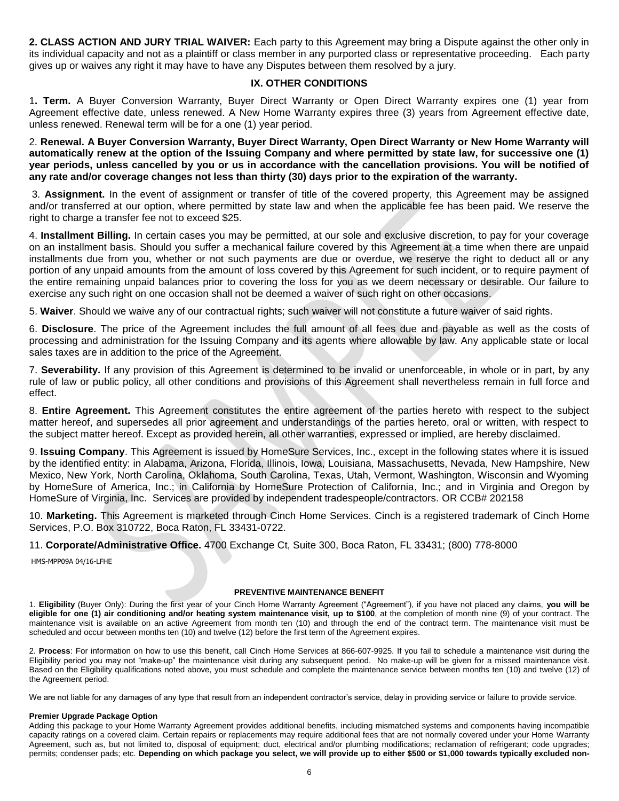**2. CLASS ACTION AND JURY TRIAL WAIVER:** Each party to this Agreement may bring a Dispute against the other only in its individual capacity and not as a plaintiff or class member in any purported class or representative proceeding. Each party gives up or waives any right it may have to have any Disputes between them resolved by a jury.

# **IX. OTHER CONDITIONS**

1**. Term.** A Buyer Conversion Warranty, Buyer Direct Warranty or Open Direct Warranty expires one (1) year from Agreement effective date, unless renewed. A New Home Warranty expires three (3) years from Agreement effective date, unless renewed. Renewal term will be for a one (1) year period.

2. **Renewal. A Buyer Conversion Warranty, Buyer Direct Warranty, Open Direct Warranty or New Home Warranty will automatically renew at the option of the Issuing Company and where permitted by state law, for successive one (1) year periods, unless cancelled by you or us in accordance with the cancellation provisions. You will be notified of any rate and/or coverage changes not less than thirty (30) days prior to the expiration of the warranty.**

3. **Assignment.** In the event of assignment or transfer of title of the covered property, this Agreement may be assigned and/or transferred at our option, where permitted by state law and when the applicable fee has been paid. We reserve the right to charge a transfer fee not to exceed \$25.

4. **Installment Billing.** In certain cases you may be permitted, at our sole and exclusive discretion, to pay for your coverage on an installment basis. Should you suffer a mechanical failure covered by this Agreement at a time when there are unpaid installments due from you, whether or not such payments are due or overdue, we reserve the right to deduct all or any portion of any unpaid amounts from the amount of loss covered by this Agreement for such incident, or to require payment of the entire remaining unpaid balances prior to covering the loss for you as we deem necessary or desirable. Our failure to exercise any such right on one occasion shall not be deemed a waiver of such right on other occasions.

5. **Waiver**. Should we waive any of our contractual rights; such waiver will not constitute a future waiver of said rights.

6. **Disclosure**. The price of the Agreement includes the full amount of all fees due and payable as well as the costs of processing and administration for the Issuing Company and its agents where allowable by law. Any applicable state or local sales taxes are in addition to the price of the Agreement.

7. **Severability.** If any provision of this Agreement is determined to be invalid or unenforceable, in whole or in part, by any rule of law or public policy, all other conditions and provisions of this Agreement shall nevertheless remain in full force and effect.

8. **Entire Agreement.** This Agreement constitutes the entire agreement of the parties hereto with respect to the subject matter hereof, and supersedes all prior agreement and understandings of the parties hereto, oral or written, with respect to the subject matter hereof. Except as provided herein, all other warranties, expressed or implied, are hereby disclaimed.

9. **Issuing Company**. This Agreement is issued by HomeSure Services, Inc., except in the following states where it is issued by the identified entity: in Alabama, Arizona, Florida, Illinois, Iowa, Louisiana, Massachusetts, Nevada, New Hampshire, New Mexico, New York, North Carolina, Oklahoma, South Carolina, Texas, Utah, Vermont, Washington, Wisconsin and Wyoming by HomeSure of America, Inc.; in California by HomeSure Protection of California, Inc.; and in Virginia and Oregon by HomeSure of Virginia, Inc. Services are provided by independent tradespeople/contractors. OR CCB# 202158

10. **Marketing.** This Agreement is marketed through Cinch Home Services. Cinch is a registered trademark of Cinch Home Services, P.O. Box 310722, Boca Raton, FL 33431-0722.

11. **Corporate/Administrative Office.** 4700 Exchange Ct, Suite 300, Boca Raton, FL 33431; (800) 778-8000

HMS-MPP09A 04/16-LFHE

# **PREVENTIVE MAINTENANCE BENEFIT**

1. **Eligibility** (Buyer Only): During the first year of your Cinch Home Warranty Agreement ("Agreement"), if you have not placed any claims, **you will be eligible for one (1) air conditioning and/or heating system maintenance visit, up to \$100**, at the completion of month nine (9) of your contract. The maintenance visit is available on an active Agreement from month ten (10) and through the end of the contract term. The maintenance visit must be scheduled and occur between months ten (10) and twelve (12) before the first term of the Agreement expires.

2. **Process**: For information on how to use this benefit, call Cinch Home Services at 866-607-9925. If you fail to schedule a maintenance visit during the Eligibility period you may not "make-up" the maintenance visit during any subsequent period. No make-up will be given for a missed maintenance visit. Based on the Eligibility qualifications noted above, you must schedule and complete the maintenance service between months ten (10) and twelve (12) of the Agreement period.

We are not liable for any damages of any type that result from an independent contractor's service, delay in providing service or failure to provide service.

# **Premier Upgrade Package Option**

Adding this package to your Home Warranty Agreement provides additional benefits, including mismatched systems and components having incompatible capacity ratings on a covered claim. Certain repairs or replacements may require additional fees that are not normally covered under your Home Warranty Agreement, such as, but not limited to, disposal of equipment; duct, electrical and/or plumbing modifications; reclamation of refrigerant; code upgrades; permits; condenser pads; etc. **Depending on which package you select, we will provide up to either \$500 or \$1,000 towards typically excluded non-**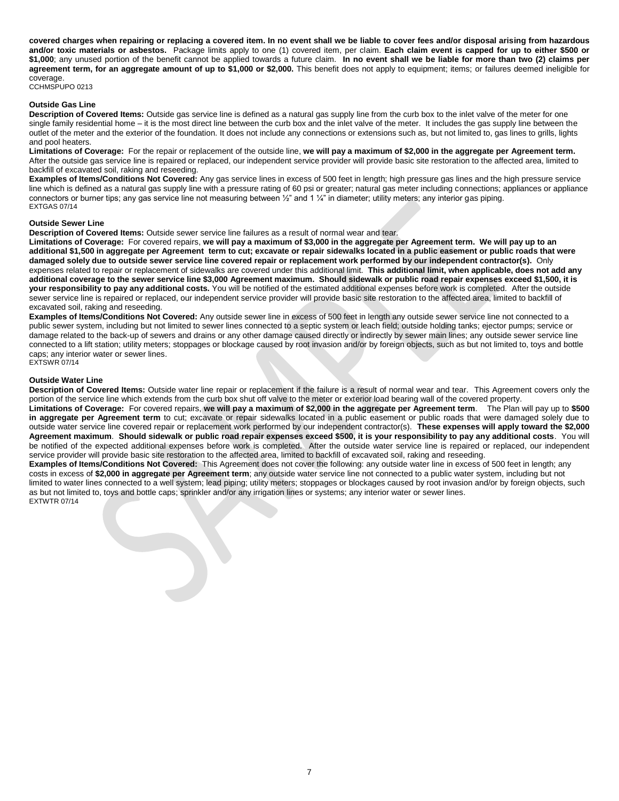**covered charges when repairing or replacing a covered item. In no event shall we be liable to cover fees and/or disposal arising from hazardous and/or toxic materials or asbestos.** Package limits apply to one (1) covered item, per claim. **Each claim event is capped for up to either \$500 or \$1,000**; any unused portion of the benefit cannot be applied towards a future claim. **In no event shall we be liable for more than two (2) claims per agreement term, for an aggregate amount of up to \$1,000 or \$2,000.** This benefit does not apply to equipment; items; or failures deemed ineligible for coverage.

CCHMSPUPO 0213

# **Outside Gas Line**

**Description of Covered Items:** Outside gas service line is defined as a natural gas supply line from the curb box to the inlet valve of the meter for one single family residential home – it is the most direct line between the curb box and the inlet valve of the meter. It includes the gas supply line between the outlet of the meter and the exterior of the foundation. It does not include any connections or extensions such as, but not limited to, gas lines to grills, lights and pool heaters.

**Limitations of Coverage:** For the repair or replacement of the outside line, **we will pay a maximum of \$2,000 in the aggregate per Agreement term.** After the outside gas service line is repaired or replaced, our independent service provider will provide basic site restoration to the affected area, limited to backfill of excavated soil, raking and reseeding.

**Examples of Items/Conditions Not Covered:** Any gas service lines in excess of 500 feet in length; high pressure gas lines and the high pressure service line which is defined as a natural gas supply line with a pressure rating of 60 psi or greater; natural gas meter including connections; appliances or appliance connectors or burner tips; any gas service line not measuring between 1/2" and 1 1/4" in diameter; utility meters; any interior gas piping. EXTGAS 07/14

## **Outside Sewer Line**

**Description of Covered Items:** Outside sewer service line failures as a result of normal wear and tear.

**Limitations of Coverage:** For covered repairs, **we will pay a maximum of \$3,000 in the aggregate per Agreement term. We will pay up to an additional \$1,500 in aggregate per Agreement term to cut; excavate or repair sidewalks located in a public easement or public roads that were damaged solely due to outside sewer service line covered repair or replacement work performed by our independent contractor(s).** Only expenses related to repair or replacement of sidewalks are covered under this additional limit. **This additional limit, when applicable, does not add any additional coverage to the sewer service line \$3,000 Agreement maximum. Should sidewalk or public road repair expenses exceed \$1,500, it is your responsibility to pay any additional costs.** You will be notified of the estimated additional expenses before work is completed. After the outside sewer service line is repaired or replaced, our independent service provider will provide basic site restoration to the affected area, limited to backfill of excavated soil, raking and reseeding.

**Examples of Items/Conditions Not Covered:** Any outside sewer line in excess of 500 feet in length any outside sewer service line not connected to a public sewer system, including but not limited to sewer lines connected to a septic system or leach field; outside holding tanks; ejector pumps; service or damage related to the back-up of sewers and drains or any other damage caused directly or indirectly by sewer main lines; any outside sewer service line connected to a lift station; utility meters; stoppages or blockage caused by root invasion and/or by foreign objects, such as but not limited to, toys and bottle caps; any interior water or sewer lines. EXTSWR 07/14

## **Outside Water Line**

**Description of Covered Items:** Outside water line repair or replacement if the failure is a result of normal wear and tear. This Agreement covers only the portion of the service line which extends from the curb box shut off valve to the meter or exterior load bearing wall of the covered property.

**Limitations of Coverage:** For covered repairs, **we will pay a maximum of \$2,000 in the aggregate per Agreement term**. The Plan will pay up to **\$500 in aggregate per Agreement term** to cut; excavate or repair sidewalks located in a public easement or public roads that were damaged solely due to outside water service line covered repair or replacement work performed by our independent contractor(s). **These expenses will apply toward the \$2,000 Agreement maximum**. **Should sidewalk or public road repair expenses exceed \$500, it is your responsibility to pay any additional costs**. You will be notified of the expected additional expenses before work is completed. After the outside water service line is repaired or replaced, our independent service provider will provide basic site restoration to the affected area, limited to backfill of excavated soil, raking and reseeding.

**Examples of Items/Conditions Not Covered:** This Agreement does not cover the following: any outside water line in excess of 500 feet in length; any costs in excess of **\$2,000 in aggregate per Agreement term**; any outside water service line not connected to a public water system, including but not limited to water lines connected to a well system; lead piping; utility meters; stoppages or blockages caused by root invasion and/or by foreign objects, such as but not limited to, toys and bottle caps; sprinkler and/or any irrigation lines or systems; any interior water or sewer lines. EXTWTR 07/14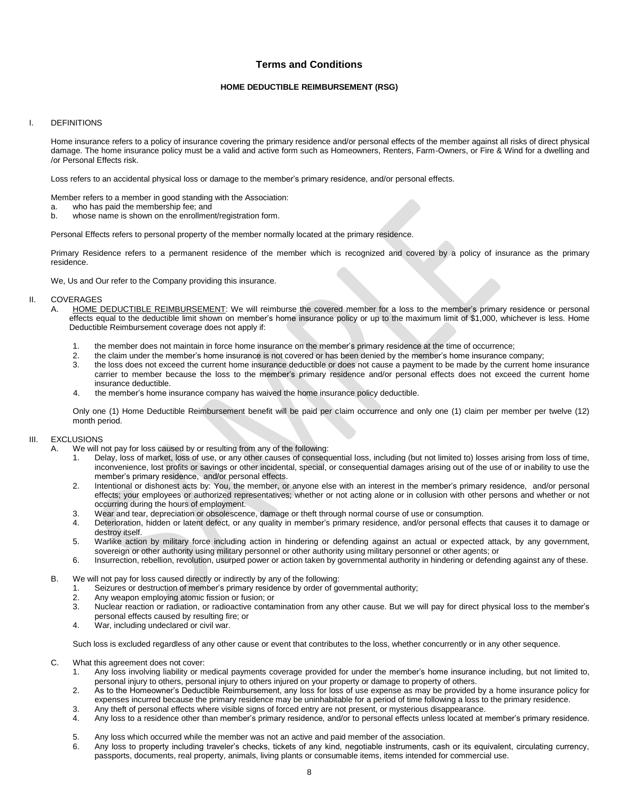# **Terms and Conditions**

# **HOME DEDUCTIBLE REIMBURSEMENT (RSG)**

## I. DEFINITIONS

Home insurance refers to a policy of insurance covering the primary residence and/or personal effects of the member against all risks of direct physical damage. The home insurance policy must be a valid and active form such as Homeowners, Renters, Farm-Owners, or Fire & Wind for a dwelling and /or Personal Effects risk.

Loss refers to an accidental physical loss or damage to the member's primary residence, and/or personal effects.

Member refers to a member in good standing with the Association:

- a. who has paid the membership fee; and
- b. whose name is shown on the enrollment/registration form.

Personal Effects refers to personal property of the member normally located at the primary residence.

Primary Residence refers to a permanent residence of the member which is recognized and covered by a policy of insurance as the primary residence.

We, Us and Our refer to the Company providing this insurance.

#### II. COVERAGES

- A. HOME DEDUCTIBLE REIMBURSEMENT: We will reimburse the covered member for a loss to the member's primary residence or personal effects equal to the deductible limit shown on member's home insurance policy or up to the maximum limit of \$1,000, whichever is less. Home Deductible Reimbursement coverage does not apply if:
	- 1. the member does not maintain in force home insurance on the member's primary residence at the time of occurrence;<br>2. the claim under the member's home insurance is not covered or has been denied by the member's home ins
	- the claim under the member's home insurance is not covered or has been denied by the member's home insurance company;
	- 3. the loss does not exceed the current home insurance deductible or does not cause a payment to be made by the current home insurance carrier to member because the loss to the member's primary residence and/or personal effects does not exceed the current home insurance deductible.
	- 4. the member's home insurance company has waived the home insurance policy deductible.

Only one (1) Home Deductible Reimbursement benefit will be paid per claim occurrence and only one (1) claim per member per twelve (12) month period.

### III. EXCLUSIONS

- A. We will not pay for loss caused by or resulting from any of the following:
	- 1. Delay, loss of market, loss of use, or any other causes of consequential loss, including (but not limited to) losses arising from loss of time, inconvenience, lost profits or savings or other incidental, special, or consequential damages arising out of the use of or inability to use the member's primary residence, and/or personal effects.
	- 2. Intentional or dishonest acts by: You, the member, or anyone else with an interest in the member's primary residence, and/or personal effects; your employees or authorized representatives; whether or not acting alone or in collusion with other persons and whether or not occurring during the hours of employment.
	- 3. Wear and tear, depreciation or obsolescence, damage or theft through normal course of use or consumption.
	- 4. Deterioration, hidden or latent defect, or any quality in member's primary residence, and/or personal effects that causes it to damage or destroy itself.
	- 5. Warlike action by military force including action in hindering or defending against an actual or expected attack, by any government, sovereign or other authority using military personnel or other authority using military personnel or other agents; or
	- 6. Insurrection, rebellion, revolution, usurped power or action taken by governmental authority in hindering or defending against any of these.
- B. We will not pay for loss caused directly or indirectly by any of the following:
	- 1. Seizures or destruction of member's primary residence by order of governmental authority;
	- 2. Any weapon employing atomic fission or fusion; or
	- 3. Nuclear reaction or radiation, or radioactive contamination from any other cause. But we will pay for direct physical loss to the member's personal effects caused by resulting fire; or
	- 4. War, including undeclared or civil war.

Such loss is excluded regardless of any other cause or event that contributes to the loss, whether concurrently or in any other sequence.

- C. What this agreement does not cover:
	- 1. Any loss involving liability or medical payments coverage provided for under the member's home insurance including, but not limited to, personal injury to others, personal injury to others injured on your property or damage to property of others.
	- 2. As to the Homeowner's Deductible Reimbursement, any loss for loss of use expense as may be provided by a home insurance policy for expenses incurred because the primary residence may be uninhabitable for a period of time following a loss to the primary residence.
	- 3. Any theft of personal effects where visible signs of forced entry are not present, or mysterious disappearance.
	- 4. Any loss to a residence other than member's primary residence, and/or to personal effects unless located at member's primary residence.
	- 5. Any loss which occurred while the member was not an active and paid member of the association.
	- 6. Any loss to property including traveler's checks, tickets of any kind, negotiable instruments, cash or its equivalent, circulating currency, passports, documents, real property, animals, living plants or consumable items, items intended for commercial use.